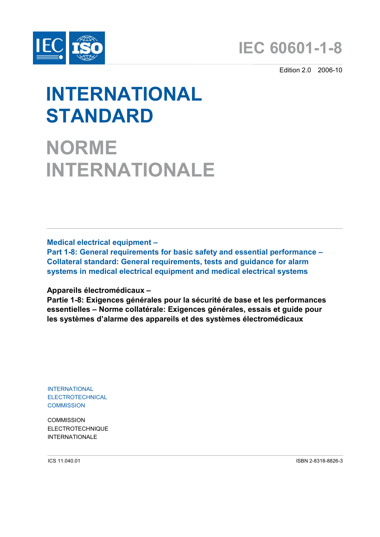



# **INTERNATIONAL STANDARD**

# **NORME INTERNATIONALE**

#### **Medical electrical equipment –**

**Part 1-8: General requirements for basic safety and essential performance – Collateral standard: General requirements, tests and guidance for alarm systems in medical electrical equipment and medical electrical systems** 

#### **Appareils électromédicaux –**

**Partie 1-8: Exigences générales pour la sécurité de base et les performances essentielles – Norme collatérale: Exigences générales, essais et guide pour les systèmes d'alarme des appareils et des systèmes électromédicaux** 

INTERNATIONAL ELECTROTECHNICAL **COMMISSION** 

COMMISSION ELECTROTECHNIQUE **INTERNATIONALE**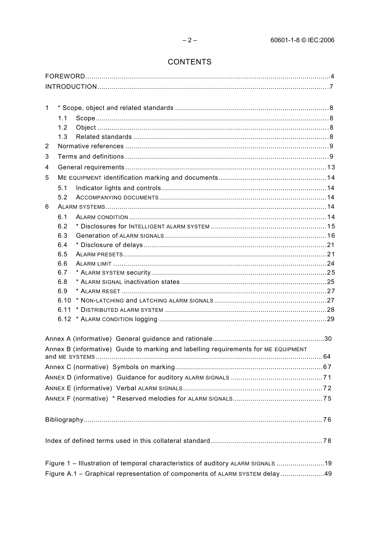### **CONTENTS**

| $\mathbf 1$                                                                        |  |  |  |  |
|------------------------------------------------------------------------------------|--|--|--|--|
| 1.1                                                                                |  |  |  |  |
| 1.2                                                                                |  |  |  |  |
| 1.3                                                                                |  |  |  |  |
| 2                                                                                  |  |  |  |  |
| 3                                                                                  |  |  |  |  |
| 4                                                                                  |  |  |  |  |
| 5                                                                                  |  |  |  |  |
| 5.1                                                                                |  |  |  |  |
| 5.2                                                                                |  |  |  |  |
| 6                                                                                  |  |  |  |  |
| 6.1                                                                                |  |  |  |  |
| 6.2                                                                                |  |  |  |  |
| 6.3                                                                                |  |  |  |  |
| 6.4                                                                                |  |  |  |  |
| 6.5                                                                                |  |  |  |  |
| 6.6                                                                                |  |  |  |  |
| 6.7                                                                                |  |  |  |  |
| 6.8                                                                                |  |  |  |  |
| 6.9                                                                                |  |  |  |  |
| 6.10                                                                               |  |  |  |  |
| 6.11                                                                               |  |  |  |  |
|                                                                                    |  |  |  |  |
|                                                                                    |  |  |  |  |
| Annex B (informative) Guide to marking and labelling requirements for ME EQUIPMENT |  |  |  |  |
|                                                                                    |  |  |  |  |
|                                                                                    |  |  |  |  |
|                                                                                    |  |  |  |  |
|                                                                                    |  |  |  |  |
|                                                                                    |  |  |  |  |
|                                                                                    |  |  |  |  |
|                                                                                    |  |  |  |  |
| Figure 1 - Illustration of temporal characteristics of auditory ALARM SIGNALS 19   |  |  |  |  |
| Figure A.1 - Graphical representation of components of ALARM SYSTEM delay 49       |  |  |  |  |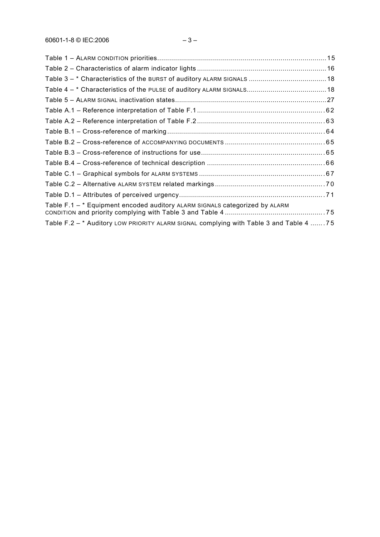| Table F.1 - * Equipment encoded auditory ALARM SIGNALS categorized by ALARM            |  |
|----------------------------------------------------------------------------------------|--|
| Table F.2 - * Auditory LOW PRIORITY ALARM SIGNAL complying with Table 3 and Table 4 75 |  |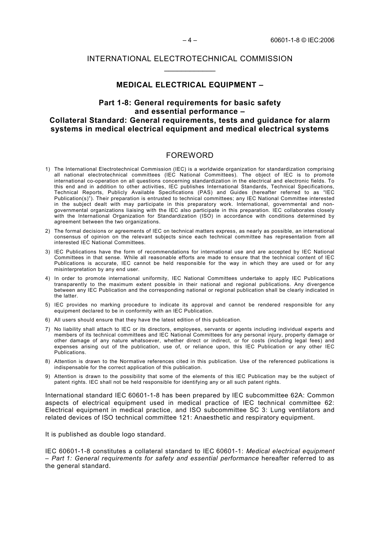#### INTERNATIONAL ELECTROTECHNICAL COMMISSION  $\frac{1}{2}$  ,  $\frac{1}{2}$  ,  $\frac{1}{2}$  ,  $\frac{1}{2}$  ,  $\frac{1}{2}$  ,  $\frac{1}{2}$

#### **MEDICAL ELECTRICAL EQUIPMENT –**

#### **Part 1-8: General requirements for basic safety and essential performance – Collateral Standard: General requirements, tests and guidance for alarm systems in medical electrical equipment and medical electrical systems**

#### FOREWORD

- 1) The International Electrotechnical Commission (IEC) is a worldwide organization for standardization comprising all national electrotechnical committees (IEC National Committees). The object of IEC is to promote international co-operation on all questions concerning standardization in the electrical and electronic fields. To this end and in addition to other activities, IEC publishes International Standards, Technical Specifications, Technical Reports, Publicly Available Specifications (PAS) and Guides (hereafter referred to as "IEC Publication(s)"). Their preparation is entrusted to technical committees; any IEC National Committee interested in the subject dealt with may participate in this preparatory work. International, governmental and nongovernmental organizations liaising with the IEC also participate in this preparation. IEC collaborates closely with the International Organization for Standardization (ISO) in accordance with conditions determined by agreement between the two organizations.
- 2) The formal decisions or agreements of IEC on technical matters express, as nearly as possible, an international consensus of opinion on the relevant subjects since each technical committee has representation from all interested IEC National Committees.
- 3) IEC Publications have the form of recommendations for international use and are accepted by IEC National Committees in that sense. While all reasonable efforts are made to ensure that the technical content of IEC Publications is accurate, IEC cannot be held responsible for the way in which they are used or for any misinterpretation by any end user.
- 4) In order to promote international uniformity, IEC National Committees undertake to apply IEC Publications transparently to the maximum extent possible in their national and regional publications. Any divergence between any IEC Publication and the corresponding national or regional publication shall be clearly indicated in the latter.
- 5) IEC provides no marking procedure to indicate its approval and cannot be rendered responsible for any equipment declared to be in conformity with an IEC Publication.
- 6) All users should ensure that they have the latest edition of this publication.
- 7) No liability shall attach to IEC or its directors, employees, servants or agents including individual experts and members of its technical committees and IEC National Committees for any personal injury, property damage or other damage of any nature whatsoever, whether direct or indirect, or for costs (including legal fees) and expenses arising out of the publication, use of, or reliance upon, this IEC Publication or any other IEC Publications.
- 8) Attention is drawn to the Normative references cited in this publication. Use of the referenced publications is indispensable for the correct application of this publication.
- 9) Attention is drawn to the possibility that some of the elements of this IEC Publication may be the subject of patent rights. IEC shall not be held responsible for identifying any or all such patent rights.

International standard IEC 60601-1-8 has been prepared by IEC subcommittee 62A: Common aspects of electrical equipment used in medical practice of IEC technical committee 62: Electrical equipment in medical practice, and ISO subcommittee SC 3: Lung ventilators and related devices of ISO technical committee 121: Anaesthetic and respiratory equipment.

It is published as double logo standard.

IEC 60601-1-8 constitutes a collateral standard to IEC 60601-1: *Medical electrical equipment – Part 1: General requirements for safety and essential performance* hereafter referred to as the general standard.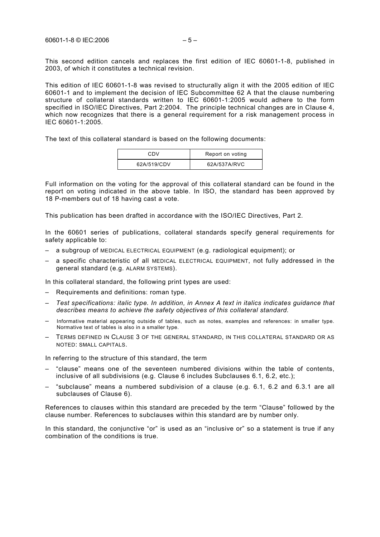This edition of IEC 60601-1-8 was revised to structurally align it with the 2005 edition of IEC 60601-1 and to implement the decision of IEC Subcommittee 62 A that the clause numbering structure of collateral standards written to IEC 60601-1:2005 would adhere to the form specified in ISO/IEC Directives, Part 2:2004. The principle technical changes are in Clause 4, which now recognizes that there is a general requirement for a risk management process in IEC 60601-1:2005.

The text of this collateral standard is based on the following documents:

| CDV         | Report on voting |
|-------------|------------------|
| 62A/519/CDV | 62A/537A/RVC     |

Full information on the voting for the approval of this collateral standard can be found in the report on voting indicated in the above table. In ISO, the standard has been approved by 18 P-members out of 18 having cast a vote.

This publication has been drafted in accordance with the ISO/IEC Directives, Part 2.

In the 60601 series of publications, collateral standards specify general requirements for safety applicable to:

- a subgroup of MEDICAL ELECTRICAL EQUIPMENT (e.g. radiological equipment); or
- a specific characteristic of all MEDICAL ELECTRICAL EQUIPMENT, not fully addressed in the general standard (e.g. ALARM SYSTEMS).

In this collateral standard, the following print types are used:

- Requirements and definitions: roman type.
- *Test specifications: italic type. In addition, in Annex A text in italics indicates guidance that describes means to achieve the safety objectives of this collateral standard.*
- Informative material appearing outside of tables, such as notes, examples and references: in smaller type. Normative text of tables is also in a smaller type.
- TERMS DEFINED IN CLAUSE 3 OF THE GENERAL STANDARD, IN THIS COLLATERAL STANDARD OR AS NOTED: SMALL CAPITALS.

In referring to the structure of this standard, the term

- "clause" means one of the seventeen numbered divisions within the table of contents, inclusive of all subdivisions (e.g. Clause 6 includes Subclauses 6.1, 6.2, etc.);
- "subclause" means a numbered subdivision of a clause (e.g.  $6.1$ ,  $6.2$  and  $6.3.1$  are all subclauses of Clause 6).

References to clauses within this standard are preceded by the term "Clause" followed by the clause number. References to subclauses within this standard are by number only.

In this standard, the conjunctive "or" is used as an "inclusive or" so a statement is true if any combination of the conditions is true.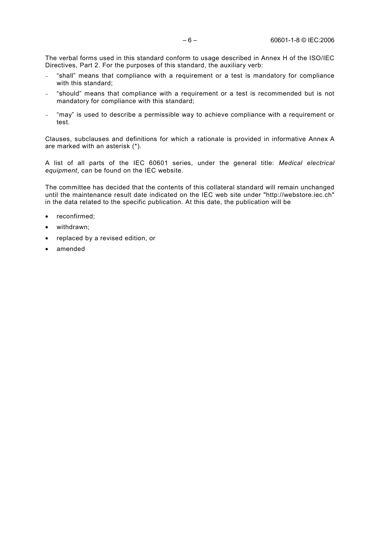The verbal forms used in this standard conform to usage described in Annex H of the ISO/IEC Directives, Part 2. For the purposes of this standard, the auxiliary verb:

- − "shall" means that compliance with a requirement or a test is mandatory for compliance with this standard:
- − "should" means that compliance with a requirement or a test is recommended but is not mandatory for compliance with this standard;
- − "may" is used to describe a permissible way to achieve compliance with a requirement or test.

Clauses, subclauses and definitions for which a rationale is provided in informative Annex A are marked with an asterisk (\*).

A list of all parts of the IEC 60601 series, under the general title: *Medical electrical equipment*, can be found on the IEC website.

The committee has decided that the contents of this collateral standard will remain unchanged until the maintenance result date indicated on the IEC web site under "http://webstore.iec.ch" in the data related to the specific publication. At this date, the publication will be

- reconfirmed;
- withdrawn;
- replaced by a revised edition, or
- amended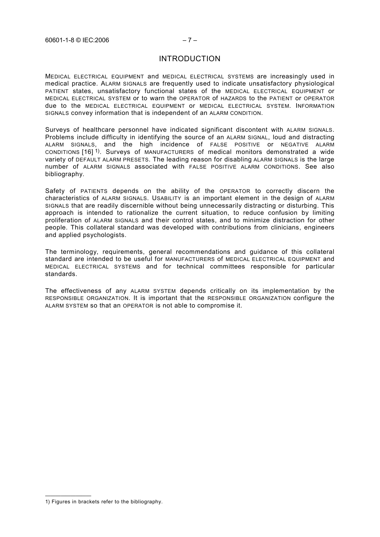#### INTRODUCTION

MEDICAL ELECTRICAL EQUIPMENT and MEDICAL ELECTRICAL SYSTEMS are increasingly used in medical practice. ALARM SIGNALS are frequently used to indicate unsatisfactory physiological PATIENT states, unsatisfactory functional states of the MEDICAL ELECTRICAL EQUIPMENT or MEDICAL ELECTRICAL SYSTEM or to warn the OPERATOR of HAZARDS to the PATIENT or OPERATOR due to the MEDICAL ELECTRICAL EQUIPMENT or MEDICAL ELECTRICAL SYSTEM. INFORMATION SIGNALS convey information that is independent of an ALARM CONDITION.

Surveys of healthcare personnel have indicated significant discontent with ALARM SIGNALS. Problems include difficulty in identifying the source of an ALARM SIGNAL, loud and distracting ALARM SIGNALS, and the high incidence of FALSE POSITIVE or NEGATIVE ALARM CONDITIONS [16] 1). Surveys of MANUFACTURERS of medical monitors demonstrated a wide variety of DEFAULT ALARM PRESETS. The leading reason for disabling ALARM SIGNALS is the large number of ALARM SIGNALS associated with FALSE POSITIVE ALARM CONDITIONS. See also bibliography.

Safety of PATIENTS depends on the ability of the OPERATOR to correctly discern the characteristics of ALARM SIGNALS. USABILITY is an important element in the design of ALARM SIGNALS that are readily discernible without being unnecessarily distracting or disturbing. This approach is intended to rationalize the current situation, to reduce confusion by limiting proliferation of ALARM SIGNALS and their control states, and to minimize distraction for other people. This collateral standard was developed with contributions from clinicians, engineers and applied psychologists.

The terminology, requirements, general recommendations and guidance of this collateral standard are intended to be useful for MANUFACTURERS of MEDICAL ELECTRICAL EQUIPMENT and MEDICAL ELECTRICAL SYSTEMS and for technical committees responsible for particular standards.

The effectiveness of any ALARM SYSTEM depends critically on its implementation by the RESPONSIBLE ORGANIZATION. It is important that the RESPONSIBLE ORGANIZATION configure the ALARM SYSTEM so that an OPERATOR is not able to compromise it.

—————————

<sup>1)</sup> Figures in brackets refer to the bibliography.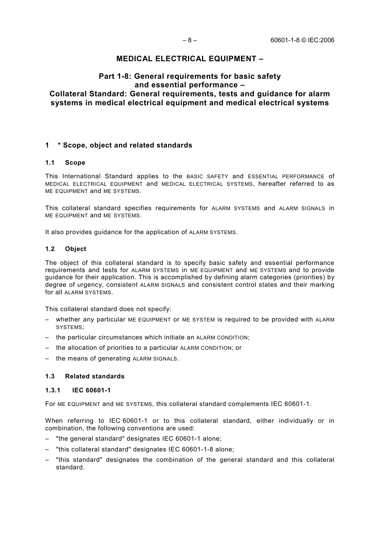#### **MEDICAL ELECTRICAL EQUIPMENT –**

#### **Part 1-8: General requirements for basic safety and essential performance –**

**Collateral Standard: General requirements, tests and guidance for alarm systems in medical electrical equipment and medical electrical systems** 

#### **1 \* Scope, object and related standards**

#### **1.1 Scope**

This International Standard applies to the BASIC SAFETY and ESSENTIAL PERFORMANCE of MEDICAL ELECTRICAL EQUIPMENT and MEDICAL ELECTRICAL SYSTEMS, hereafter referred to as ME EQUIPMENT and ME SYSTEMS.

This collateral standard specifies requirements for ALARM SYSTEMS and ALARM SIGNALS in ME EQUIPMENT and ME SYSTEMS.

It also provides guidance for the application of ALARM SYSTEMS.

#### **1.2 Object**

The object of this collateral standard is to specify basic safety and essential performance requirements and tests for ALARM SYSTEMS in ME EQUIPMENT and ME SYSTEMS and to provide guidance for their application. This is accomplished by defining alarm categories (priorities) by degree of urgency, consistent ALARM SIGNALS and consistent control states and their marking for all ALARM SYSTEMS.

This collateral standard does not specify:

- whether any particular ME EQUIPMENT or ME SYSTEM is required to be provided with ALARM SYSTEMS;
- the particular circumstances which initiate an ALARM CONDITION;
- the allocation of priorities to a particular ALARM CONDITION; or
- the means of generating ALARM SIGNALS.

#### **1.3 Related standards**

#### **1.3.1 IEC 60601-1**

For ME EQUIPMENT and ME SYSTEMS, this collateral standard complements IEC 60601-1.

When referring to IEC 60601-1 or to this collateral standard, either individually or in combination, the following conventions are used:

- "the general standard" designates IEC 60601-1 alone;
- "this collateral standard" designates IEC 60601-1-8 alone;
- "this standard" designates the combination of the general standard and this collateral standard.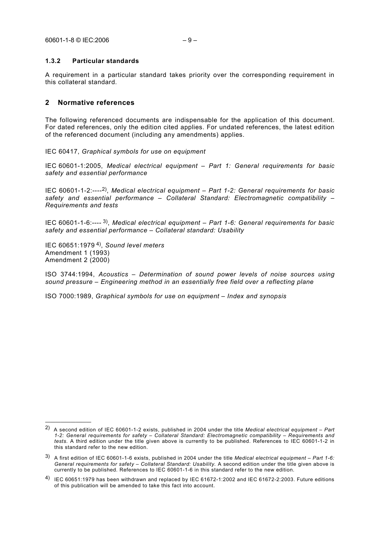#### **1.3.2 Particular standards**

A requirement in a particular standard takes priority over the corresponding requirement in this collateral standard.

#### **2 Normative references**

The following referenced documents are indispensable for the application of this document. For dated references, only the edition cited applies. For undated references, the latest edition of the referenced document (including any amendments) applies.

IEC 60417, *Graphical symbols for use on equipment* 

IEC 60601-1:2005, *Medical electrical equipment – Part 1: General requirements for basic safety and essential performance* 

IEC 60601-1-2:----2), *Medical electrical equipment – Part 1-2: General requirements for basic safety and essential performance – Collateral Standard: Electromagnetic compatibility – Requirements and tests* 

IEC 60601-1-6:---- 3), *Medical electrical equipment – Part 1-6: General requirements for basic safety and essential performance – Collateral standard: Usability*

IEC 60651:1979 4), *Sound level meters*  Amendment 1 (1993) Amendment 2 (2000)

—————————

ISO 3744:1994, *Acoustics – Determination of sound power levels of noise sources using sound pressure – Engineering method in an essentially free field over a reflecting plane*

ISO 7000:1989, *Graphical symbols for use on equipment – Index and synopsis*

<sup>2)</sup> A second edition of IEC 60601-1-2 exists, published in 2004 under the title *Medical electrical equipment – Part 1-2: General requirements for safety – Collateral Standard: Electromagnetic compatibility – Requirements and tests.* A third edition under the title given above is currently to be published. References to IEC 60601-1-2 in this standard refer to the new edition.

<sup>3)</sup> A first edition of IEC 60601-1-6 exists, published in 2004 under the title *Medical electrical equipment – Part 1-6: General requirements for safety – Collateral Standard: Usability.* A second edition under the title given above is currently to be published. References to IEC 60601-1-6 in this standard refer to the new edition.

<sup>4)</sup> IEC 60651:1979 has been withdrawn and replaced by IEC 61672-1:2002 and IEC 61672-2:2003. Future editions of this publication will be amended to take this fact into account.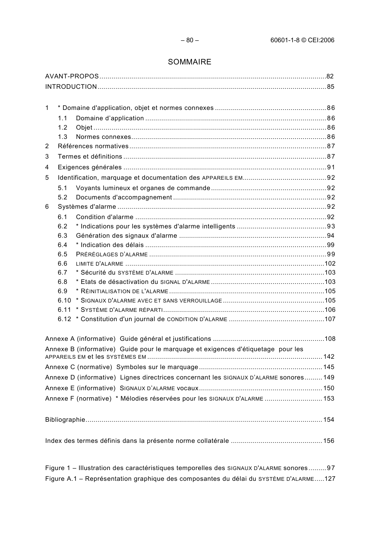### SOMMAIRE

| 1 |      |                                                                                       |     |
|---|------|---------------------------------------------------------------------------------------|-----|
|   | 1.1  |                                                                                       |     |
|   | 1.2  |                                                                                       |     |
|   | 1.3  |                                                                                       |     |
| 2 |      |                                                                                       |     |
| 3 |      |                                                                                       |     |
| 4 |      |                                                                                       |     |
| 5 |      |                                                                                       |     |
|   | 5.1  |                                                                                       |     |
|   | 5.2  |                                                                                       |     |
| 6 |      |                                                                                       |     |
|   | 6.1  |                                                                                       |     |
|   | 6.2  |                                                                                       |     |
|   | 6.3  |                                                                                       |     |
|   | 6.4  |                                                                                       |     |
|   | 6.5  |                                                                                       |     |
|   | 6.6  |                                                                                       |     |
|   | 6.7  |                                                                                       |     |
|   | 6.8  |                                                                                       |     |
|   | 6.9  |                                                                                       |     |
|   | 6.10 |                                                                                       |     |
|   | 6.11 |                                                                                       |     |
|   |      |                                                                                       |     |
|   |      |                                                                                       |     |
|   |      | Annexe B (informative) Guide pour le marquage et exigences d'étiquetage pour les      |     |
|   |      | APPAREJUS EM et les SYSTÈMES EM                                                       | 142 |
|   |      |                                                                                       |     |
|   |      | Annexe D (informative) Lignes directrices concernant les SIGNAUX D'ALARME sonores 149 |     |
|   |      |                                                                                       |     |
|   |      | Annexe F (normative) * Mélodies réservées pour les SIGNAUX D'ALARME  153              |     |
|   |      |                                                                                       |     |
|   |      |                                                                                       |     |
|   |      |                                                                                       |     |

Figure 1 – Illustration des caractéristiques temporelles des SIGNAUX D'ALARME sonores .........97 Figure A.1 – Représentation graphique des composantes du délai du SYSTÈME D'ALARME.....127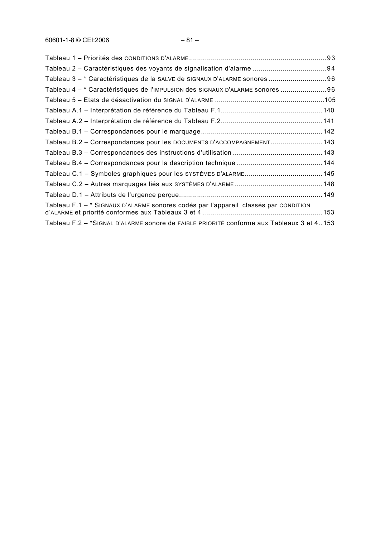| Tableau 3 - * Caractéristiques de la SALVE de SIGNAUX D'ALARME sonores 96                |  |
|------------------------------------------------------------------------------------------|--|
| Tableau 4 - * Caractéristiques de l'IMPULSION des SIGNAUX D'ALARME sonores 96            |  |
|                                                                                          |  |
|                                                                                          |  |
|                                                                                          |  |
|                                                                                          |  |
| Tableau B.2 - Correspondances pour les DOCUMENTS D'ACCOMPAGNEMENT 143                    |  |
|                                                                                          |  |
|                                                                                          |  |
|                                                                                          |  |
|                                                                                          |  |
|                                                                                          |  |
| Tableau F.1 - * SIGNAUX D'ALARME sonores codés par l'appareil classés par CONDITION      |  |
| Tableau F.2 - *SIGNAL D'ALARME sonore de FAIBLE PRIORITÉ conforme aux Tableaux 3 et 4153 |  |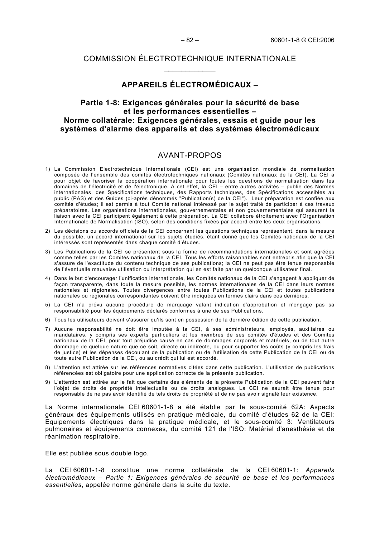#### COMMISSION ÉLECTROTECHNIQUE INTERNATIONALE  $\frac{1}{2}$  ,  $\frac{1}{2}$  ,  $\frac{1}{2}$  ,  $\frac{1}{2}$  ,  $\frac{1}{2}$  ,  $\frac{1}{2}$

#### **APPAREILS ÉLECTROMÉDICAUX –**

#### **Partie 1-8: Exigences générales pour la sécurité de base et les performances essentielles – Norme collatérale: Exigences générales, essais et guide pour les systèmes d'alarme des appareils et des systèmes électromédicaux**

#### AVANT-PROPOS

- 1) La Commission Electrotechnique Internationale (CEI) est une organisation mondiale de normalisation composée de l'ensemble des comités électrotechniques nationaux (Comités nationaux de la CEI). La CEI a pour objet de favoriser la coopération internationale pour toutes les questions de normalisation dans les domaines de l'électricité et de l'électronique. A cet effet, la CEI – entre autres activités – publie des Normes internationales, des Spécifications techniques, des Rapports techniques, des Spécifications accessibles au public (PAS) et des Guides (ci-après dénommés "Publication(s) de la CEI"). Leur préparation est confiée aux comités d'études; il est permis à tout Comité national intéressé par le sujet traité de participer à ces travaux préparatoires. Les organisations internationales, gouvernementales et non gouvernementales qui assurent la liaison avec la CEI participent également à cette préparation. La CEI collabore étroitement avec l'Organisation Internationale de Normalisation (ISO), selon des conditions fixées par accord entre les deux organisations.
- 2) Les décisions ou accords officiels de la CEI concernant les questions techniques représentent, dans la mesure du possible, un accord international sur les sujets étudiés, étant donné que les Comités nationaux de la CEI intéressés sont représentés dans chaque comité d'études.
- 3) Les Publications de la CEI se présentent sous la forme de recommandations internationales et sont agréées comme telles par les Comités nationaux de la CEI. Tous les efforts raisonnables sont entrepris afin que la CEI s'assure de l'exactitude du contenu technique de ses publications; la CEI ne peut pas être tenue responsable de l'éventuelle mauvaise utilisation ou interprétation qui en est faite par un quelconque utilisateur final.
- 4) Dans le but d'encourager l'unification internationale, les Comités nationaux de la CEI s'engagent à appliquer de façon transparente, dans toute la mesure possible, les normes internationales de la CEI dans leurs normes nationales et régionales. Toutes divergences entre toutes Publications de la CEI et toutes publications nationales ou régionales correspondantes doivent être indiquées en termes clairs dans ces dernières.
- 5) La CEI n'a prévu aucune procédure de marquage valant indication d'approbation et n'engage pas sa responsabilité pour les équipements déclarés conformes à une de ses Publications.
- 6) Tous les utilisateurs doivent s'assurer qu'ils sont en possession de la dernière édition de cette publication.
- 7) Aucune responsabilité ne doit être imputée à la CEI, à ses administrateurs, employés, auxiliaires ou mandataires, y compris ses experts particuliers et les membres de ses comités d'études et des Comités nationaux de la CEI, pour tout préjudice causé en cas de dommages corporels et matériels, ou de tout autre dommage de quelque nature que ce soit, directe ou indirecte, ou pour supporter les coûts (y compris les frais de justice) et les dépenses découlant de la publication ou de l'utilisation de cette Publication de la CEI ou de toute autre Publication de la CEI, ou au crédit qui lui est accordé.
- 8) L'attention est attirée sur les références normatives citées dans cette publication. L'utilisation de publications référencées est obligatoire pour une application correcte de la présente publication.
- 9) L'attention est attirée sur le fait que certains des éléments de la présente Publication de la CEI peuvent faire l'objet de droits de propriété intellectuelle ou de droits analogues. La CEI ne saurait être tenue pour responsable de ne pas avoir identifié de tels droits de propriété et de ne pas avoir signalé leur existence.

La Norme internationale CEI 60601-1-8 a été établie par le sous-comité 62A: Aspects généraux des équipements utilisés en pratique médicale, du comité d'études 62 de la CEI: Equipements électriques dans la pratique médicale, et le sous-comité 3: Ventilateurs pulmonaires et équipements connexes, du comité 121 de l'ISO: Matériel d'anesthésie et de réanimation respiratoire.

Elle est publiée sous double logo.

La CEI 60601-1-8 constitue une norme collatérale de la CEI 60601-1: *Appareils électromédicaux – Partie 1: Exigences générales de sécurité de base et les performances essentielles*, appelée norme générale dans la suite du texte.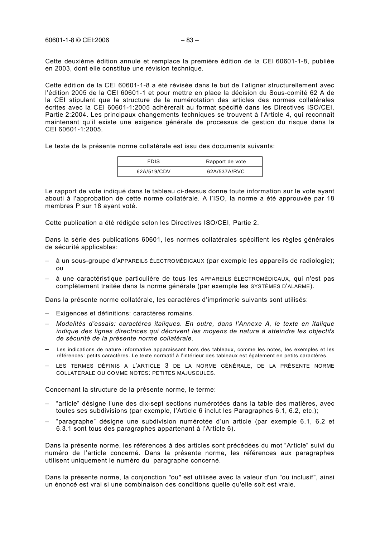Cette deuxième édition annule et remplace la première édition de la CEI 60601-1-8, publiée en 2003, dont elle constitue une révision technique.

Cette édition de la CEI 60601-1-8 a été révisée dans le but de l'aligner structurellement avec l'édition 2005 de la CEI 60601-1 et pour mettre en place la décision du Sous-comité 62 A de la CEI stipulant que la structure de la numérotation des articles des normes collatérales écrites avec la CEI 60601-1:2005 adhérerait au format spécifié dans les Directives ISO/CEI, Partie 2:2004. Les principaux changements techniques se trouvent à l'Article 4, qui reconnaît maintenant qu'il existe une exigence générale de processus de gestion du risque dans la CEI 60601-1:2005.

Le texte de la présente norme collatérale est issu des documents suivants:

| <b>FDIS</b> | Rapport de vote |
|-------------|-----------------|
| 62A/519/CDV | 62A/537A/RVC    |

Le rapport de vote indiqué dans le tableau ci-dessus donne toute information sur le vote ayant abouti à l'approbation de cette norme collatérale. A l'ISO, la norme a été approuvée par 18 membres P sur 18 ayant voté.

Cette publication a été rédigée selon les Directives ISO/CEI, Partie 2.

Dans la série des publications 60601, les normes collatérales spécifient les règles générales de sécurité applicables:

- à un sous-groupe d'APPAREILS ÉLECTROMÉDICAUX (par exemple les appareils de radiologie); ou
- à une caractéristique particulière de tous les APPAREILS ÉLECTROMÉDICAUX, qui n'est pas complètement traitée dans la norme générale (par exemple les SYSTÈMES D'ALARME).

Dans la présente norme collatérale, les caractères d'imprimerie suivants sont utilisés:

- Exigences et définitions: caractères romains.
- *Modalités d'essais: caractères italiques. En outre, dans l'Annexe A, le texte en italique indique des lignes directrices qui décrivent les moyens de nature à atteindre les objectifs de sécurité de la présente norme collatérale.*
- Les indications de nature informative apparaissant hors des tableaux, comme les notes, les exemples et les références: petits caractères. Le texte normatif à l'intérieur des tableaux est également en petits caractères.
- LES TERMES DÉFINIS A L'ARTICLE 3 DE LA NORME GÉNÉRALE, DE LA PRÉSENTE NORME COLLATERALE OU COMME NOTES: PETITES MAJUSCULES.

Concernant la structure de la présente norme, le terme:

- "article" désigne l'une des dix-sept sections numérotées dans la table des matières, avec toutes ses subdivisions (par exemple, l'Article 6 inclut les Paragraphes 6.1, 6.2, etc.);
- "paragraphe" désigne une subdivision numérotée d'un article (par exemple 6.1, 6.2 et 6.3.1 sont tous des paragraphes appartenant à l'Article 6).

Dans la présente norme, les références à des articles sont précédées du mot "Article" suivi du numéro de l'article concerné. Dans la présente norme, les références aux paragraphes utilisent uniquement le numéro du paragraphe concerné.

Dans la présente norme, la conjonction "ou" est utilisée avec la valeur d'un "ou inclusif", ainsi un énoncé est vrai si une combinaison des conditions quelle qu'elle soit est vraie.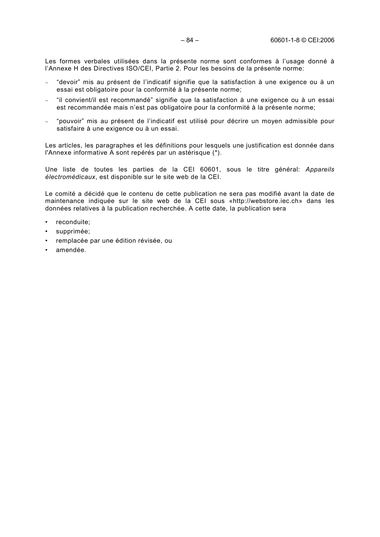Les formes verbales utilisées dans la présente norme sont conformes à l'usage donné à l'Annexe H des Directives ISO/CEI, Partie 2. Pour les besoins de la présente norme:

- − "devoir" mis au présent de l'indicatif signifie que la satisfaction à une exigence ou à un essai est obligatoire pour la conformité à la présente norme;
- − "il convient/il est recommandé" signifie que la satisfaction à une exigence ou à un essai est recommandée mais n'est pas obligatoire pour la conformité à la présente norme;
- − "pouvoir" mis au présent de l'indicatif est utilisé pour décrire un moyen admissible pour satisfaire à une exigence ou à un essai.

Les articles, les paragraphes et les définitions pour lesquels une justification est donnée dans l'Annexe informative A sont repérés par un astérisque (\*).

Une liste de toutes les parties de la CEI 60601, sous le titre général: *Appareils électromédicaux*, est disponible sur le site web de la CEI.

Le comité a décidé que le contenu de cette publication ne sera pas modifié avant la date de maintenance indiquée sur le site web de la CEI sous «http://webstore.iec.ch» dans les données relatives à la publication recherchée. A cette date, la publication sera

- reconduite:
- supprimée;
- remplacée par une édition révisée, ou
- amendée.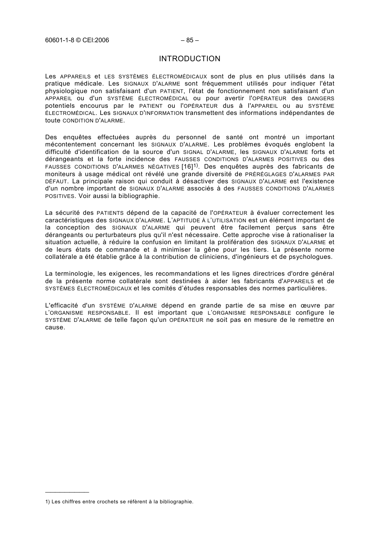#### INTRODUCTION

Les APPAREILS et LES SYSTÈMES ÉLECTROMÉDICAUX sont de plus en plus utilisés dans la pratique médicale. Les SIGNAUX D'ALARME sont fréquemment utilisés pour indiquer l'état physiologique non satisfaisant d'un PATIENT, l'état de fonctionnement non satisfaisant d'un APPAREIL ou d'un SYSTÈME ÉLECTROMÉDICAL ou pour avertir l'OPÉRATEUR des DANGERS potentiels encourus par le PATIENT ou l'OPÉRATEUR dus à l'APPAREIL ou au SYSTÈME ÉLECTROMÉDICAL. Les SIGNAUX D'INFORMATION transmettent des informations indépendantes de toute CONDITION D'ALARME.

Des enquêtes effectuées auprès du personnel de santé ont montré un important mécontentement concernant les SIGNAUX D'ALARME. Les problèmes évoqués englobent la difficulté d'identification de la source d'un SIGNAL D'ALARME, les SIGNAUX D'ALARME forts et dérangeants et la forte incidence des FAUSSES CONDITIONS D'ALARMES POSITIVES ou des FAUSSES CONDITIONS D'ALARMES NÉGATIVES [16]1). Des enquêtes auprès des fabricants de moniteurs à usage médical ont révélé une grande diversité de PRÉRÉGLAGES D'ALARMES PAR DÉFAUT. La principale raison qui conduit à désactiver des SIGNAUX D'ALARME est l'existence d'un nombre important de SIGNAUX D'ALARME associés à des FAUSSES CONDITIONS D'ALARMES POSITIVES. Voir aussi la bibliographie.

La sécurité des PATIENTS dépend de la capacité de l'OPÉRATEUR à évaluer correctement les caractéristiques des SIGNAUX D'ALARME. L'APTITUDE À L'UTILISATION est un élément important de la conception des SIGNAUX D'ALARME qui peuvent être facilement perçus sans être dérangeants ou perturbateurs plus qu'il n'est nécessaire. Cette approche vise à rationaliser la situation actuelle, à réduire la confusion en limitant la prolifération des SIGNAUX D'ALARME et de leurs états de commande et à minimiser la gêne pour les tiers. La présente norme collatérale a été établie grâce à la contribution de cliniciens, d'ingénieurs et de psychologues.

La terminologie, les exigences, les recommandations et les lignes directrices d'ordre général de la présente norme collatérale sont destinées à aider les fabricants d'APPAREILS et de SYSTÈMES ÉLECTROMÉDICAUX et les comités d'études responsables des normes particulières.

L'efficacité d'un SYSTÈME D'ALARME dépend en grande partie de sa mise en œuvre par L'ORGANISME RESPONSABLE. Il est important que L'ORGANISME RESPONSABLE configure le SYSTÈME D'ALARME de telle façon qu'un OPÉRATEUR ne soit pas en mesure de le remettre en cause.

—————————

<sup>1)</sup> Les chiffres entre crochets se réfèrent à la bibliographie.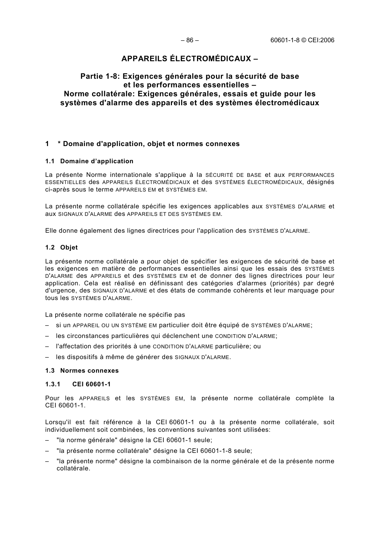#### **APPAREILS ÉLECTROMÉDICAUX –**

#### **Partie 1-8: Exigences générales pour la sécurité de base et les performances essentielles – Norme collatérale: Exigences générales, essais et guide pour les systèmes d'alarme des appareils et des systèmes électromédicaux**

#### **1 \* Domaine d'application, objet et normes connexes**

#### **1.1 Domaine d'application**

La présente Norme internationale s'applique à la SÉCURITÉ DE BASE et aux PERFORMANCES ESSENTIELLES des APPAREILS ÉLECTROMÉDICAUX et des SYSTÈMES ÉLECTROMÉDICAUX, désignés ci-après sous le terme APPAREILS EM et SYSTÈMES EM.

La présente norme collatérale spécifie les exigences applicables aux SYSTÈMES D'ALARME et aux SIGNAUX D'ALARME des APPAREILS ET DES SYSTÈMES EM.

Elle donne également des lignes directrices pour l'application des SYSTÈMES D'ALARME.

#### **1.2 Objet**

La présente norme collatérale a pour objet de spécifier les exigences de sécurité de base et les exigences en matière de performances essentielles ainsi que les essais des SYSTÈMES D'ALARME des APPAREILS et des SYSTÈMES EM et de donner des lignes directrices pour leur application. Cela est réalisé en définissant des catégories d'alarmes (priorités) par degré d'urgence, des SIGNAUX D'ALARME et des états de commande cohérents et leur marquage pour tous les SYSTÈMES D'ALARME.

La présente norme collatérale ne spécifie pas

- si un APPAREIL OU UN SYSTÈME EM particulier doit être équipé de SYSTÈMES D'ALARME;
- les circonstances particulières qui déclenchent une CONDITION D'ALARME;
- l'affectation des priorités à une CONDITION D'ALARME particulière; ou
- les dispositifs à même de générer des SIGNAUX D'ALARME.

#### **1.3 Normes connexes**

#### **1.3.1 CEI 60601-1**

Pour les APPAREILS et les SYSTÈMES EM, la présente norme collatérale complète la CEI 60601-1.

Lorsqu'il est fait référence à la CEI 60601-1 ou à la présente norme collatérale, soit individuellement soit combinées, les conventions suivantes sont utilisées:

- "la norme générale" désigne la CEI 60601-1 seule;
- "la présente norme collatérale" désigne la CEI 60601-1-8 seule;
- "la présente norme" désigne la combinaison de la norme générale et de la présente norme collatérale.